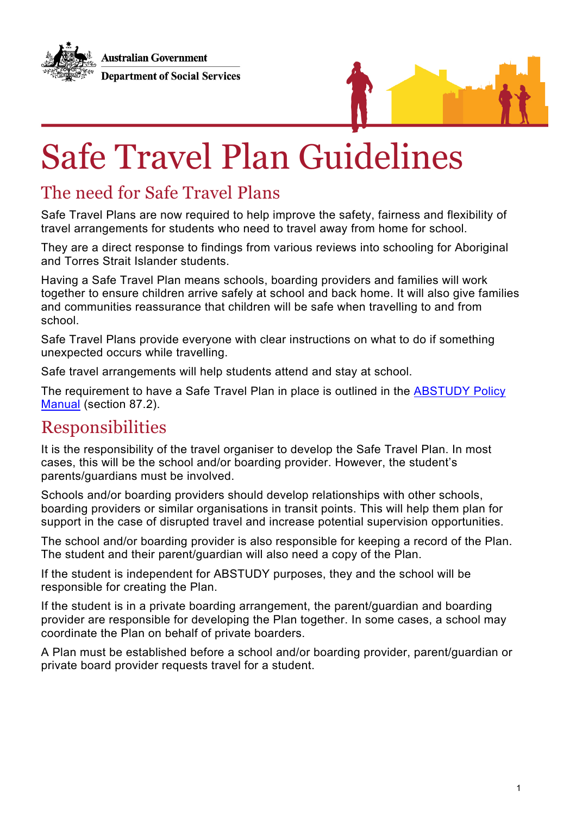**Australian Government Department of Social Services** 



# Safe Travel Plan Guidelines

### The need for Safe Travel Plans

Safe Travel Plans are now required to help improve the safety, fairness and flexibility of travel arrangements for students who need to travel away from home for school.

They are a direct response to findings from various reviews into schooling for Aboriginal and Torres Strait Islander students.

Having a Safe Travel Plan means schools, boarding providers and families will work together to ensure children arrive safely at school and back home. It will also give families and communities reassurance that children will be safe when travelling to and from school.

Safe Travel Plans provide everyone with clear instructions on what to do if something unexpected occurs while travelling.

Safe travel arrangements will help students attend and stay at school.

The requirement to have a Safe Travel Plan in place is outlined in the ABSTUDY Policy Manual (section 87.2).

#### Responsibilities

It is the responsibility of the travel organiser to develop the Safe Travel Plan. In most cases, this will be the school and/or boarding provider. However, the student's parents/guardians must be involved.

Schools and/or boarding providers should develop relationships with other schools, boarding providers or similar organisations in transit points. This will help them plan for support in the case of disrupted travel and increase potential supervision opportunities.

The school and/or boarding provider is also responsible for keeping a record of the Plan. The student and their parent/guardian will also need a copy of the Plan.

If the student is independent for ABSTUDY purposes, they and the school will be responsible for creating the Plan.

If the student is in a private boarding arrangement, the parent/guardian and boarding provider are responsible for developing the Plan together. In some cases, a school may coordinate the Plan on behalf of private boarders.

A Plan must be established before a school and/or boarding provider, parent/guardian or private board provider requests travel for a student.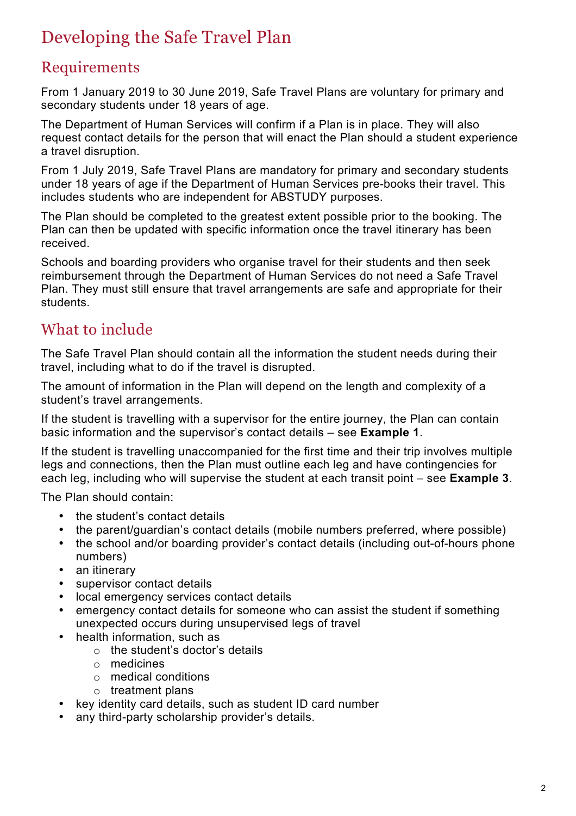# Developing the Safe Travel Plan

#### Requirements

From 1 January 2019 to 30 June 2019, Safe Travel Plans are voluntary for primary and secondary students under 18 years of age.

The Department of Human Services will confirm if a Plan is in place. They will also request contact details for the person that will enact the Plan should a student experience a travel disruption.

From 1 July 2019, Safe Travel Plans are mandatory for primary and secondary students under 18 years of age if the Department of Human Services pre-books their travel. This includes students who are independent for ABSTUDY purposes.

The Plan should be completed to the greatest extent possible prior to the booking. The Plan can then be updated with specific information once the travel itinerary has been received.

Schools and boarding providers who organise travel for their students and then seek reimbursement through the Department of Human Services do not need a Safe Travel Plan. They must still ensure that travel arrangements are safe and appropriate for their students.

#### What to include

The Safe Travel Plan should contain all the information the student needs during their travel, including what to do if the travel is disrupted.

The amount of information in the Plan will depend on the length and complexity of a student's travel arrangements.

If the student is travelling with a supervisor for the entire journey, the Plan can contain basic information and the supervisor's contact details – see **Example 1**.

If the student is travelling unaccompanied for the first time and their trip involves multiple legs and connections, then the Plan must outline each leg and have contingencies for each leg, including who will supervise the student at each transit point – see **Example 3**.

The Plan should contain:

- the student's contact details
- the parent/guardian's contact details (mobile numbers preferred, where possible)
- the school and/or boarding provider's contact details (including out-of-hours phone numbers)
- an itinerary
- supervisor contact details
- local emergency services contact details
- emergency contact details for someone who can assist the student if something unexpected occurs during unsupervised legs of travel
- health information, such as
	- o the student's doctor's details
	- o medicines
	- o medical conditions
	- $\circ$  treatment plans
- key identity card details, such as student ID card number
- any third-party scholarship provider's details.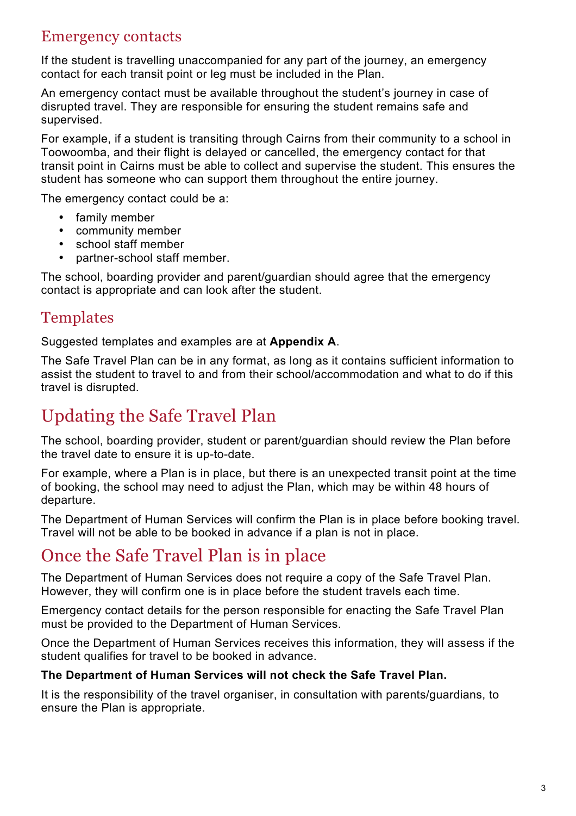#### Emergency contacts

If the student is travelling unaccompanied for any part of the journey, an emergency contact for each transit point or leg must be included in the Plan.

An emergency contact must be available throughout the student's journey in case of disrupted travel. They are responsible for ensuring the student remains safe and supervised.

For example, if a student is transiting through Cairns from their community to a school in Toowoomba, and their flight is delayed or cancelled, the emergency contact for that transit point in Cairns must be able to collect and supervise the student. This ensures the student has someone who can support them throughout the entire journey.

The emergency contact could be a:

- family member
- community member
- school staff member
- partner-school staff member.

The school, boarding provider and parent/guardian should agree that the emergency contact is appropriate and can look after the student.

#### Templates

Suggested templates and examples are at **Appendix A**.

The Safe Travel Plan can be in any format, as long as it contains sufficient information to assist the student to travel to and from their school/accommodation and what to do if this travel is disrupted.

# Updating the Safe Travel Plan

The school, boarding provider, student or parent/guardian should review the Plan before the travel date to ensure it is up-to-date.

For example, where a Plan is in place, but there is an unexpected transit point at the time of booking, the school may need to adjust the Plan, which may be within 48 hours of departure.

The Department of Human Services will confirm the Plan is in place before booking travel. Travel will not be able to be booked in advance if a plan is not in place.

#### Once the Safe Travel Plan is in place

The Department of Human Services does not require a copy of the Safe Travel Plan. However, they will confirm one is in place before the student travels each time.

Emergency contact details for the person responsible for enacting the Safe Travel Plan must be provided to the Department of Human Services.

Once the Department of Human Services receives this information, they will assess if the student qualifies for travel to be booked in advance.

#### **The Department of Human Services will not check the Safe Travel Plan.**

It is the responsibility of the travel organiser, in consultation with parents/guardians, to ensure the Plan is appropriate.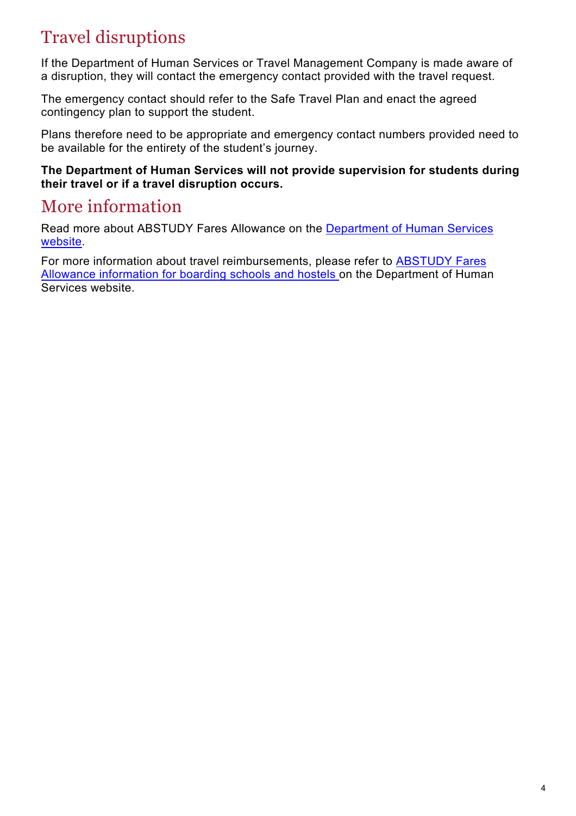# Travel disruptions

If the Department of Human Services or Travel Management Company is made aware of a disruption, they will contact the emergency contact provided with the travel request.

The emergency contact should refer to the Safe Travel Plan and enact the agreed contingency plan to support the student.

Plans therefore need to be appropriate and emergency contact numbers provided need to be available for the entirety of the student's journey.

**The Department of Human Services will not provide supervision for students during their travel or if a travel disruption occurs.**

#### More information

Read more about ABSTUDY Fares Allowance on the Department of Human Services website.

For more information about travel reimbursements, please refer to ABSTUDY Fares Allowance information for boarding schools and hostels on the Department of Human Services website.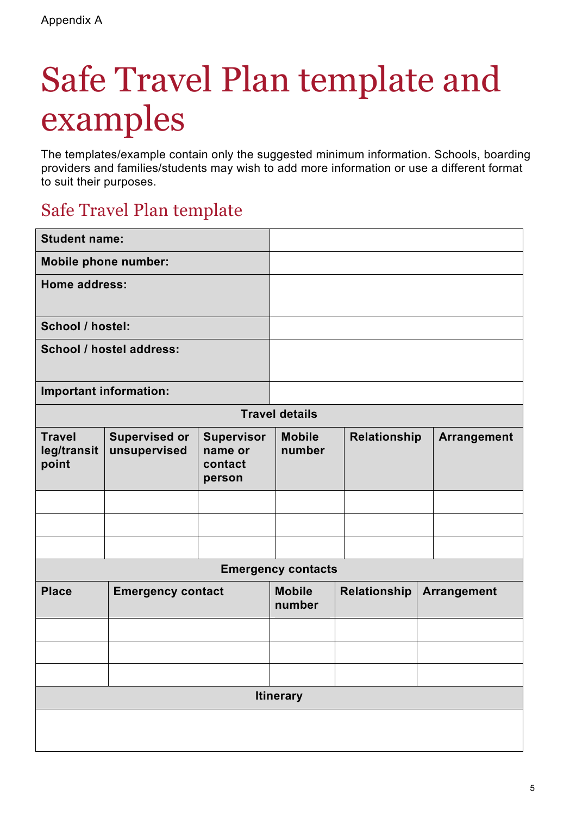# Safe Travel Plan template and examples

The templates/example contain only the suggested minimum information. Schools, boarding providers and families/students may wish to add more information or use a different format to suit their purposes.

### Safe Travel Plan template

| <b>Student name:</b>                  |                                      |                                                   |                           |              |                    |
|---------------------------------------|--------------------------------------|---------------------------------------------------|---------------------------|--------------|--------------------|
| <b>Mobile phone number:</b>           |                                      |                                                   |                           |              |                    |
| Home address:                         |                                      |                                                   |                           |              |                    |
| School / hostel:                      |                                      |                                                   |                           |              |                    |
| School / hostel address:              |                                      |                                                   |                           |              |                    |
| Important information:                |                                      |                                                   |                           |              |                    |
|                                       |                                      |                                                   | <b>Travel details</b>     |              |                    |
| <b>Travel</b><br>leg/transit<br>point | <b>Supervised or</b><br>unsupervised | <b>Supervisor</b><br>name or<br>contact<br>person | <b>Mobile</b><br>number   | Relationship | Arrangement        |
|                                       |                                      |                                                   |                           |              |                    |
|                                       |                                      |                                                   |                           |              |                    |
|                                       |                                      |                                                   |                           |              |                    |
|                                       |                                      |                                                   | <b>Emergency contacts</b> |              |                    |
| <b>Place</b>                          | <b>Emergency contact</b>             |                                                   | <b>Mobile</b><br>number   | Relationship | <b>Arrangement</b> |
|                                       |                                      |                                                   |                           |              |                    |
|                                       |                                      |                                                   |                           |              |                    |
|                                       |                                      |                                                   |                           |              |                    |
|                                       |                                      |                                                   | <b>Itinerary</b>          |              |                    |
|                                       |                                      |                                                   |                           |              |                    |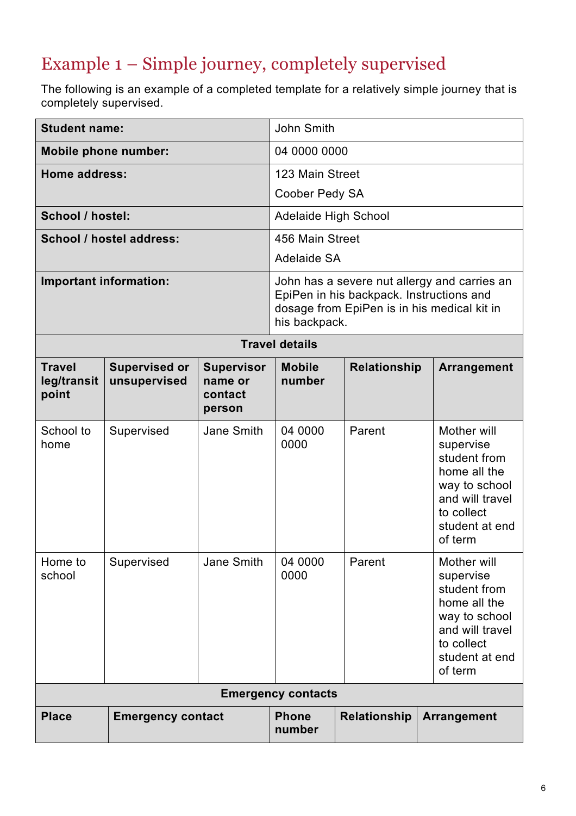# Example 1 – Simple journey, completely supervised

The following is an example of a completed template for a relatively simple journey that is completely supervised.

| <b>Student name:</b>                          |                                      |                                                   | John Smith                                                                                                                                               |                                                                                                                                         |                                                                                                                                         |  |
|-----------------------------------------------|--------------------------------------|---------------------------------------------------|----------------------------------------------------------------------------------------------------------------------------------------------------------|-----------------------------------------------------------------------------------------------------------------------------------------|-----------------------------------------------------------------------------------------------------------------------------------------|--|
| <b>Mobile phone number:</b>                   |                                      |                                                   | 04 0000 0000                                                                                                                                             |                                                                                                                                         |                                                                                                                                         |  |
| Home address:                                 |                                      |                                                   | 123 Main Street                                                                                                                                          |                                                                                                                                         |                                                                                                                                         |  |
|                                               |                                      |                                                   | Coober Pedy SA                                                                                                                                           |                                                                                                                                         |                                                                                                                                         |  |
| School / hostel:                              |                                      |                                                   | <b>Adelaide High School</b>                                                                                                                              |                                                                                                                                         |                                                                                                                                         |  |
|                                               | School / hostel address:             |                                                   | 456 Main Street                                                                                                                                          |                                                                                                                                         |                                                                                                                                         |  |
|                                               |                                      |                                                   | Adelaide SA                                                                                                                                              |                                                                                                                                         |                                                                                                                                         |  |
| Important information:                        |                                      |                                                   | John has a severe nut allergy and carries an<br>EpiPen in his backpack. Instructions and<br>dosage from EpiPen is in his medical kit in<br>his backpack. |                                                                                                                                         |                                                                                                                                         |  |
|                                               |                                      |                                                   | <b>Travel details</b>                                                                                                                                    |                                                                                                                                         |                                                                                                                                         |  |
| <b>Travel</b><br>leg/transit<br>point         | <b>Supervised or</b><br>unsupervised | <b>Supervisor</b><br>name or<br>contact<br>person | <b>Mobile</b><br>number                                                                                                                                  | Relationship                                                                                                                            | <b>Arrangement</b>                                                                                                                      |  |
| School to<br>home                             | Supervised                           | Jane Smith                                        | 04 0000<br>0000                                                                                                                                          | Parent                                                                                                                                  | Mother will<br>supervise<br>student from<br>home all the<br>way to school<br>and will travel<br>to collect<br>student at end<br>of term |  |
| Jane Smith<br>Home to<br>Supervised<br>school |                                      | 04 0000<br>0000                                   | Parent                                                                                                                                                   | Mother will<br>supervise<br>student from<br>home all the<br>way to school<br>and will travel<br>to collect<br>student at end<br>of term |                                                                                                                                         |  |
| <b>Emergency contacts</b>                     |                                      |                                                   |                                                                                                                                                          |                                                                                                                                         |                                                                                                                                         |  |
| <b>Place</b><br><b>Emergency contact</b>      |                                      |                                                   | <b>Phone</b><br>number                                                                                                                                   | Relationship                                                                                                                            | Arrangement                                                                                                                             |  |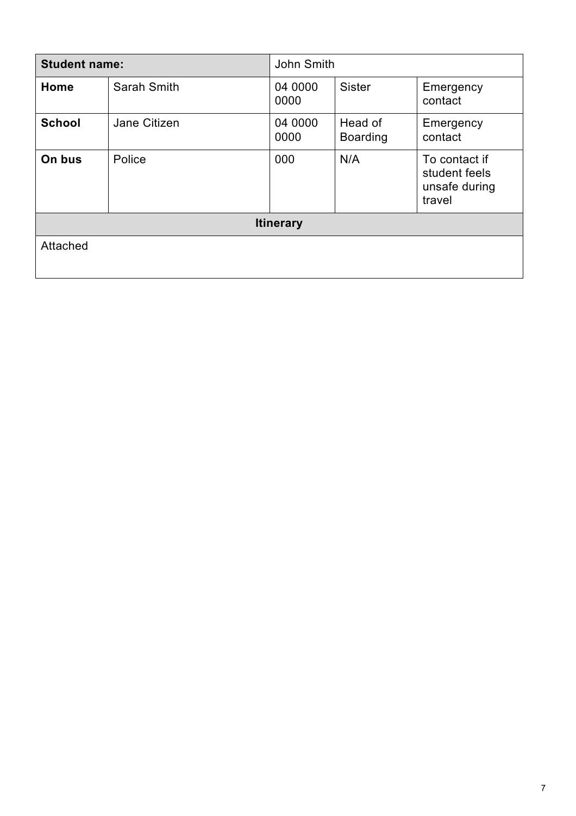| <b>Student name:</b> |              | John Smith       |                            |                                                           |  |
|----------------------|--------------|------------------|----------------------------|-----------------------------------------------------------|--|
| Home                 | Sarah Smith  | 04 0000<br>0000  | <b>Sister</b>              | Emergency<br>contact                                      |  |
| <b>School</b>        | Jane Citizen | 04 0000<br>0000  | Head of<br><b>Boarding</b> | Emergency<br>contact                                      |  |
| On bus               | Police       | 000              | N/A                        | To contact if<br>student feels<br>unsafe during<br>travel |  |
|                      |              | <b>Itinerary</b> |                            |                                                           |  |
| Attached             |              |                  |                            |                                                           |  |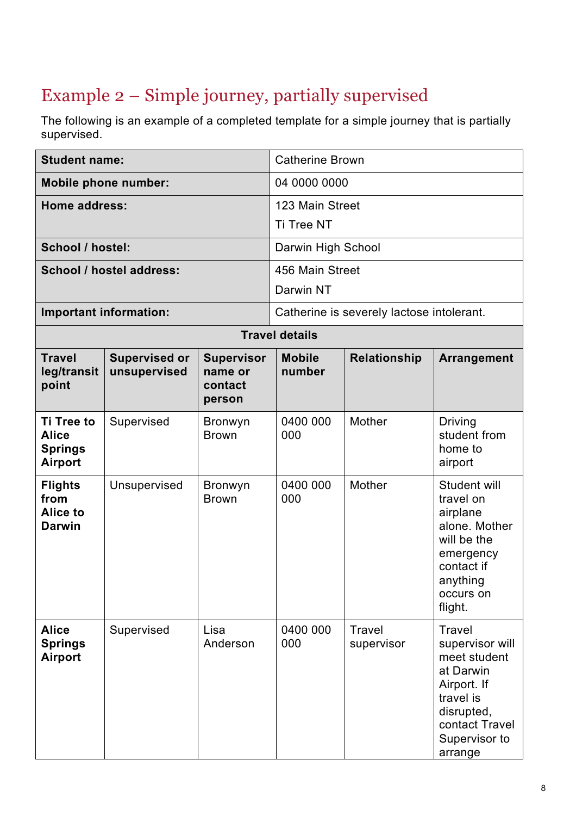# Example 2 – Simple journey, partially supervised

The following is an example of a completed template for a simple journey that is partially supervised.

| <b>Student name:</b>                                                  |                                      |                                                   | <b>Catherine Brown</b>                                        |                                           |                                                                                                                                                |  |
|-----------------------------------------------------------------------|--------------------------------------|---------------------------------------------------|---------------------------------------------------------------|-------------------------------------------|------------------------------------------------------------------------------------------------------------------------------------------------|--|
| <b>Mobile phone number:</b>                                           |                                      |                                                   | 04 0000 0000                                                  |                                           |                                                                                                                                                |  |
| <b>Home address:</b>                                                  |                                      |                                                   | 123 Main Street                                               |                                           |                                                                                                                                                |  |
|                                                                       |                                      |                                                   | Ti Tree NT                                                    |                                           |                                                                                                                                                |  |
| School / hostel:                                                      |                                      |                                                   | Darwin High School                                            |                                           |                                                                                                                                                |  |
|                                                                       | School / hostel address:             |                                                   | 456 Main Street                                               |                                           |                                                                                                                                                |  |
|                                                                       |                                      |                                                   | Darwin NT                                                     |                                           |                                                                                                                                                |  |
|                                                                       | Important information:               |                                                   |                                                               | Catherine is severely lactose intolerant. |                                                                                                                                                |  |
|                                                                       |                                      |                                                   | <b>Travel details</b>                                         |                                           |                                                                                                                                                |  |
| <b>Travel</b><br>leg/transit<br>point                                 | <b>Supervised or</b><br>unsupervised | <b>Supervisor</b><br>name or<br>contact<br>person | <b>Relationship</b><br><b>Mobile</b><br>Arrangement<br>number |                                           |                                                                                                                                                |  |
| <b>Ti Tree to</b><br><b>Alice</b><br><b>Springs</b><br><b>Airport</b> | Supervised                           | <b>Bronwyn</b><br><b>Brown</b>                    | 0400 000<br>000                                               | Mother                                    | Driving<br>student from<br>home to<br>airport                                                                                                  |  |
| <b>Flights</b><br>from<br><b>Alice to</b><br><b>Darwin</b>            | Unsupervised                         | <b>Bronwyn</b><br><b>Brown</b>                    | 0400 000<br>000                                               | Mother                                    | Student will<br>travel on<br>airplane<br>alone. Mother<br>will be the<br>emergency<br>contact if<br>anything<br>occurs on<br>flight.           |  |
| <b>Alice</b><br><b>Springs</b><br><b>Airport</b>                      | Supervised                           | Lisa<br>Anderson                                  | 0400 000<br>000                                               | <b>Travel</b><br>supervisor               | Travel<br>supervisor will<br>meet student<br>at Darwin<br>Airport. If<br>travel is<br>disrupted,<br>contact Travel<br>Supervisor to<br>arrange |  |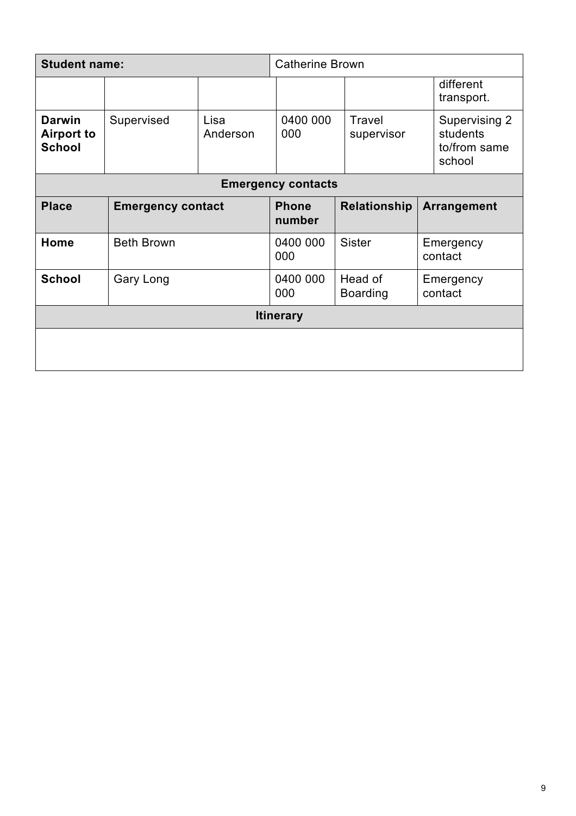| <b>Student name:</b>                                |                          | <b>Catherine Brown</b> |                        |                            |  |                                                     |
|-----------------------------------------------------|--------------------------|------------------------|------------------------|----------------------------|--|-----------------------------------------------------|
|                                                     |                          |                        |                        |                            |  | different<br>transport.                             |
| <b>Darwin</b><br><b>Airport to</b><br><b>School</b> | Supervised               | Lisa<br>Anderson       | 0400 000<br>000        | Travel<br>supervisor       |  | Supervising 2<br>students<br>to/from same<br>school |
| <b>Emergency contacts</b>                           |                          |                        |                        |                            |  |                                                     |
| <b>Place</b>                                        | <b>Emergency contact</b> |                        | <b>Phone</b><br>number | <b>Relationship</b>        |  | <b>Arrangement</b>                                  |
| Home                                                | <b>Beth Brown</b>        |                        | 0400 000<br>000        | <b>Sister</b>              |  | Emergency<br>contact                                |
| <b>School</b>                                       | Gary Long                |                        | 0400 000<br>000        | Head of<br><b>Boarding</b> |  | Emergency<br>contact                                |
| <b>Itinerary</b>                                    |                          |                        |                        |                            |  |                                                     |
|                                                     |                          |                        |                        |                            |  |                                                     |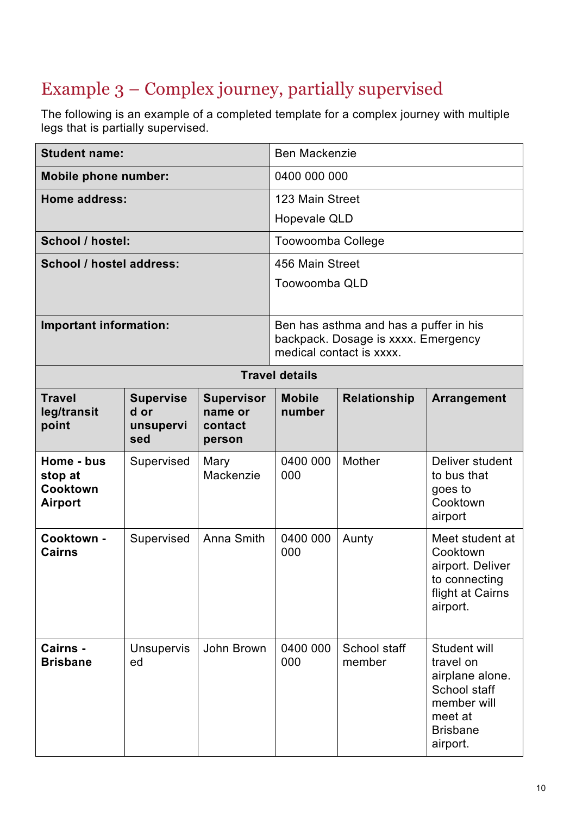# Example 3 – Complex journey, partially supervised

The following is an example of a completed template for a complex journey with multiple legs that is partially supervised.

| <b>Student name:</b>                                |                                              |                                                   | <b>Ben Mackenzie</b>                                   |                                                                                                           |                                                                                                                       |  |
|-----------------------------------------------------|----------------------------------------------|---------------------------------------------------|--------------------------------------------------------|-----------------------------------------------------------------------------------------------------------|-----------------------------------------------------------------------------------------------------------------------|--|
| <b>Mobile phone number:</b>                         |                                              |                                                   | 0400 000 000                                           |                                                                                                           |                                                                                                                       |  |
| Home address:                                       |                                              |                                                   | 123 Main Street                                        |                                                                                                           |                                                                                                                       |  |
|                                                     |                                              |                                                   | Hopevale QLD                                           |                                                                                                           |                                                                                                                       |  |
| School / hostel:                                    |                                              |                                                   | <b>Toowoomba College</b>                               |                                                                                                           |                                                                                                                       |  |
| School / hostel address:                            |                                              |                                                   | 456 Main Street                                        |                                                                                                           |                                                                                                                       |  |
|                                                     |                                              |                                                   | Toowoomba QLD                                          |                                                                                                           |                                                                                                                       |  |
| <b>Important information:</b>                       |                                              |                                                   |                                                        | Ben has asthma and has a puffer in his<br>backpack. Dosage is xxxx. Emergency<br>medical contact is xxxx. |                                                                                                                       |  |
|                                                     |                                              |                                                   | <b>Travel details</b>                                  |                                                                                                           |                                                                                                                       |  |
| <b>Travel</b><br>leg/transit<br>point               | <b>Supervise</b><br>d or<br>unsupervi<br>sed | <b>Supervisor</b><br>name or<br>contact<br>person | <b>Mobile</b><br>Relationship<br>Arrangement<br>number |                                                                                                           |                                                                                                                       |  |
| Home - bus<br>stop at<br><b>Cooktown</b><br>Airport | Supervised                                   | Mary<br>Mackenzie                                 | 0400 000<br>000                                        | Mother                                                                                                    | Deliver student<br>to bus that<br>goes to<br>Cooktown<br>airport                                                      |  |
| Cooktown -<br><b>Cairns</b>                         | Supervised                                   | Anna Smith                                        | 0400 000<br>000                                        | Aunty                                                                                                     | Meet student at<br>Cooktown<br>airport. Deliver<br>to connecting<br>flight at Cairns<br>airport.                      |  |
| Cairns -<br><b>Brisbane</b>                         | <b>Unsupervis</b><br>ed                      | John Brown                                        | 0400 000<br>000                                        | School staff<br>member                                                                                    | Student will<br>travel on<br>airplane alone.<br>School staff<br>member will<br>meet at<br><b>Brisbane</b><br>airport. |  |